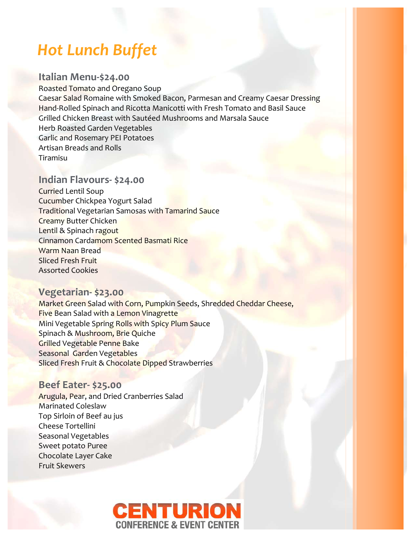# *Hot Lunch Buffet*

## **Italian Menu-\$24.00**

Roasted Tomato and Oregano Soup Caesar Salad Romaine with Smoked Bacon, Parmesan and Creamy Caesar Dressing Hand-Rolled Spinach and Ricotta Manicotti with Fresh Tomato and Basil Sauce Grilled Chicken Breast with Sautéed Mushrooms and Marsala Sauce Herb Roasted Garden Vegetables Garlic and Rosemary PEI Potatoes Artisan Breads and Rolls Tiramisu

## **Indian Flavours- \$24.00**

Curried Lentil Soup Cucumber Chickpea Yogurt Salad Traditional Vegetarian Samosas with Tamarind Sauce Creamy Butter Chicken Lentil & Spinach ragout Cinnamon Cardamom Scented Basmati Rice Warm Naan Bread Sliced Fresh Fruit Assorted Cookies

### **Vegetarian- \$23.00**

Market Green Salad with Corn, Pumpkin Seeds, Shredded Cheddar Cheese, Five Bean Salad with a Lemon Vinagrette Mini Vegetable Spring Rolls with Spicy Plum Sauce Spinach & Mushroom, Brie Quiche Grilled Vegetable Penne Bake Seasonal Garden Vegetables Sliced Fresh Fruit & Chocolate Dipped Strawberries

### **Beef Eater- \$25.00**

Arugula, Pear, and Dried Cranberries Salad Marinated Coleslaw Top Sirloin of Beef au jus Cheese Tortellini Seasonal Vegetables Sweet potato Puree Chocolate Layer Cake Fruit Skewers